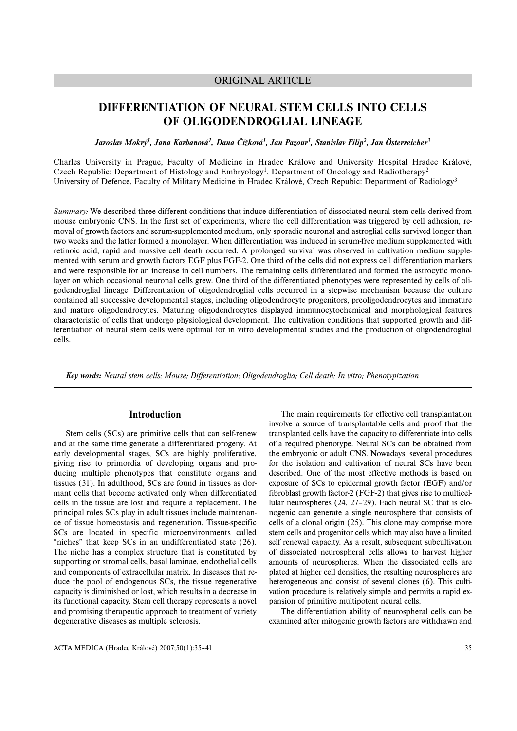## ORIGINAL ARTICLE

# **DIFFERENTIATION OF NEURAL STEM CELLS INTO CELLS OF OLIGODENDROGLIAL LINEAGE**

*Jaroslav Mokrý1, Jana Karbanová1, Dana Čížková1, Jan Pazour1, Stanislav Filip2, Jan Österreicher3*

Charles University in Prague, Faculty of Medicine in Hradec Králové and University Hospital Hradec Králové, Czech Republic: Department of Histology and Embryology<sup>1</sup>, Department of Oncology and Radiotherapy<sup>2</sup> University of Defence, Faculty of Military Medicine in Hradec Králové, Czech Repubic: Department of Radiology3

*Summary:* We described three different conditions that induce differentiation of dissociated neural stem cells derived from mouse embryonic CNS. In the first set of experiments, where the cell differentiation was triggered by cell adhesion, removal of growth factors and serum-supplemented medium, only sporadic neuronal and astroglial cells survived longer than two weeks and the latter formed a monolayer. When differentiation was induced in serum-free medium supplemented with retinoic acid, rapid and massive cell death occurred. A prolonged survival was observed in cultivation medium supplemented with serum and growth factors EGF plus FGF-2. One third of the cells did not express cell differentiation markers and were responsible for an increase in cell numbers. The remaining cells differentiated and formed the astrocytic monolayer on which occasional neuronal cells grew. One third of the differentiated phenotypes were represented by cells of oligodendroglial lineage. Differentiation of oligodendroglial cells occurred in a stepwise mechanism because the culture contained all successive developmental stages, including oligodendrocyte progenitors, preoligodendrocytes and immature and mature oligodendrocytes. Maturing oligodendrocytes displayed immunocytochemical and morphological features characteristic of cells that undergo physiological development. The cultivation conditions that supported growth and differentiation of neural stem cells were optimal for in vitro developmental studies and the production of oligodendroglial cells.

*Key words: Neural stem cells; Mouse; Differentiation; Oligodendroglia; Cell death; In vitro; Phenotypization*

### **Introduction**

Stem cells (SCs) are primitive cells that can self-renew and at the same time generate a differentiated progeny. At early developmental stages, SCs are highly proliferative, giving rise to primordia of developing organs and producing multiple phenotypes that constitute organs and tissues (31). In adulthood, SCs are found in tissues as dormant cells that become activated only when differentiated cells in the tissue are lost and require a replacement. The principal roles SCs play in adult tissues include maintenance of tissue homeostasis and regeneration. Tissue-specific SCs are located in specific microenvironments called "niches" that keep SCs in an undifferentiated state (26). The niche has a complex structure that is constituted by supporting or stromal cells, basal laminae, endothelial cells and components of extracellular matrix. In diseases that reduce the pool of endogenous SCs, the tissue regenerative capacity is diminished or lost, which results in a decrease in its functional capacity. Stem cell therapy represents a novel and promising therapeutic approach to treatment of variety degenerative diseases as multiple sclerosis.

The main requirements for effective cell transplantation involve a source of transplantable cells and proof that the transplanted cells have the capacity to differentiate into cells of a required phenotype. Neural SCs can be obtained from the embryonic or adult CNS. Nowadays, several procedures for the isolation and cultivation of neural SCs have been described. One of the most effective methods is based on exposure of SCs to epidermal growth factor (EGF) and/or fibroblast growth factor-2 (FGF-2) that gives rise to multicellular neurospheres (24, 27–29). Each neural SC that is clonogenic can generate a single neurosphere that consists of cells of a clonal origin (25). This clone may comprise more stem cells and progenitor cells which may also have a limited self renewal capacity. As a result, subsequent subcultivation of dissociated neurospheral cells allows to harvest higher amounts of neurospheres. When the dissociated cells are plated at higher cell densities, the resulting neurospheres are heterogeneous and consist of several clones (6). This cultivation procedure is relatively simple and permits a rapid expansion of primitive multipotent neural cells.

The differentiation ability of neurospheral cells can be examined after mitogenic growth factors are withdrawn and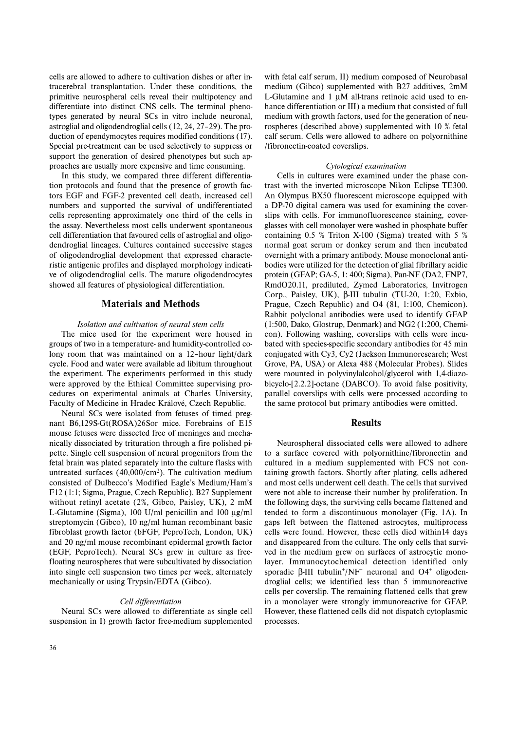cells are allowed to adhere to cultivation dishes or after intracerebral transplantation. Under these conditions, the primitive neurospheral cells reveal their multipotency and differentiate into distinct CNS cells. The terminal phenotypes generated by neural SCs in vitro include neuronal, astroglial and oligodendroglial cells (12, 24, 27–29). The production of ependymocytes requires modified conditions (17). Special pre-treatment can be used selectively to suppress or support the generation of desired phenotypes but such approaches are usually more expensive and time consuming.

In this study, we compared three different differentiation protocols and found that the presence of growth factors EGF and FGF-2 prevented cell death, increased cell numbers and supported the survival of undifferentiated cells representing approximately one third of the cells in the assay. Nevertheless most cells underwent spontaneous cell differentiation that favoured cells of astroglial and oligodendroglial lineages. Cultures contained successive stages of oligodendroglial development that expressed characteristic antigenic profiles and displayed morphology indicative of oligodendroglial cells. The mature oligodendrocytes showed all features of physiological differentiation.

### **Materials and Methods**

#### *Isolation and cultivation of neural stem cells*

The mice used for the experiment were housed in groups of two in a temperature- and humidity-controlled colony room that was maintained on a 12-hour light/dark cycle. Food and water were available ad libitum throughout the experiment. The experiments performed in this study were approved by the Ethical Committee supervising procedures on experimental animals at Charles University, Faculty of Medicine in Hradec Králové, Czech Republic.

Neural SCs were isolated from fetuses of timed pregnant B6,129S-Gt(ROSA)26Sor mice. Forebrains of E15 mouse fetuses were dissected free of meninges and mechanically dissociated by trituration through a fire polished pipette. Single cell suspension of neural progenitors from the fetal brain was plated separately into the culture flasks with untreated surfaces  $(40,000/cm<sup>2</sup>)$ . The cultivation medium consisted of Dulbecco's Modified Eagle's Medium/Ham's F12 (1:1; Sigma, Prague, Czech Republic), B27 Supplement without retinyl acetate (2%, Gibco, Paisley, UK), 2 mM L-Glutamine (Sigma), 100 U/ml penicillin and 100 μg/ml streptomycin (Gibco), 10 ng/ml human recombinant basic fibroblast growth factor (bFGF, PeproTech, London, UK) and 20 ng/ml mouse recombinant epidermal growth factor (EGF, PeproTech). Neural SCs grew in culture as freefloating neurospheres that were subcultivated by dissociation into single cell suspension two times per week, alternately mechanically or using Trypsin/EDTA (Gibco).

#### *Cell differentiation*

Neural SCs were allowed to differentiate as single cell suspension in I) growth factor free-medium supplemented

with fetal calf serum, II) medium composed of Neurobasal medium (Gibco) supplemented with B27 additives, 2mM L-Glutamine and 1 μM all-trans retinoic acid used to enhance differentiation or III) a medium that consisted of full medium with growth factors, used for the generation of neurospheres (described above) supplemented with 10 % fetal calf serum. Cells were allowed to adhere on polyornithine /fibronectin-coated coverslips.

#### *Cytological examination*

Cells in cultures were examined under the phase contrast with the inverted microscope Nikon Eclipse TE300. An Olympus BX50 fluorescent microscope equipped with a DP-70 digital camera was used for examining the coverslips with cells. For immunofluorescence staining, coverglasses with cell monolayer were washed in phosphate buffer containing 0.5 % Triton X-100 (Sigma) treated with 5 % normal goat serum or donkey serum and then incubated overnight with a primary antibody. Mouse monoclonal antibodies were utilized for the detection of glial fibrillary acidic protein (GFAP; GA-5, 1: 400; Sigma), Pan-NF (DA2, FNP7, RmdO20.11, prediluted, Zymed Laboratories, Invitrogen Corp., Paisley, UK), β-III tubulin (TU-20, 1:20, Exbio, Prague, Czech Republic) and O4 (81, 1:100, Chemicon). Rabbit polyclonal antibodies were used to identify GFAP (1:500, Dako, Glostrup, Denmark) and NG2 (1:200, Chemicon). Following washing, coverslips with cells were incubated with species-specific secondary antibodies for 45 min conjugated with Cy3, Cy2 (Jackson Immunoresearch; West Grove, PA, USA) or Alexa 488 (Molecular Probes). Slides were mounted in polyvinylalcohol/glycerol with 1,4-diazobicyclo-[2.2.2]-octane (DABCO). To avoid false positivity, parallel coverslips with cells were processed according to the same protocol but primary antibodies were omitted.

#### **Results**

Neurospheral dissociated cells were allowed to adhere to a surface covered with polyornithine/fibronectin and cultured in a medium supplemented with FCS not containing growth factors. Shortly after plating, cells adhered and most cells underwent cell death. The cells that survived were not able to increase their number by proliferation. In the following days, the surviving cells became flattened and tended to form a discontinuous monolayer (Fig. 1A). In gaps left between the flattened astrocytes, multiprocess cells were found. However, these cells died within14 days and disappeared from the culture. The only cells that survived in the medium grew on surfaces of astrocytic monolayer. Immunocytochemical detection identified only sporadic  $\beta$ -III tubulin<sup>+</sup>/NF<sup>+</sup> neuronal and O4<sup>+</sup> oligodendroglial cells; we identified less than 5 immunoreactive cells per coverslip. The remaining flattened cells that grew in a monolayer were strongly immunoreactive for GFAP. However, these flattened cells did not dispatch cytoplasmic processes.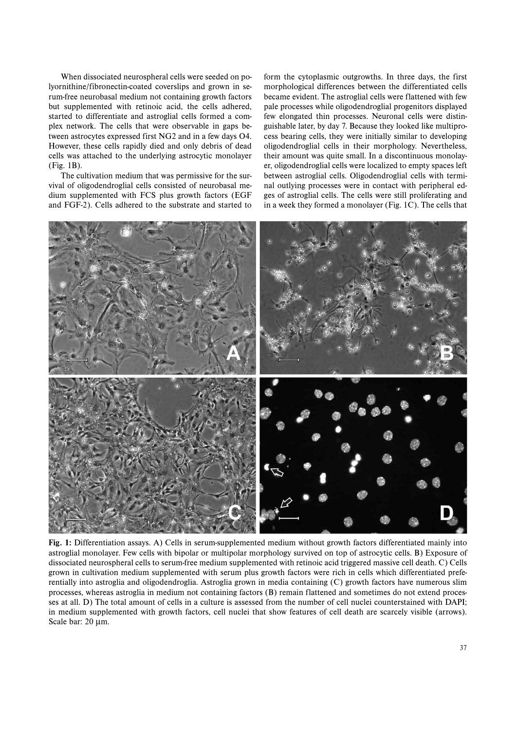When dissociated neurospheral cells were seeded on polyornithine/fibronectin-coated coverslips and grown in serum-free neurobasal medium not containing growth factors but supplemented with retinoic acid, the cells adhered, started to differentiate and astroglial cells formed a complex network. The cells that were observable in gaps between astrocytes expressed first NG2 and in a few days O4. However, these cells rapidly died and only debris of dead cells was attached to the underlying astrocytic monolayer (Fig. 1B).

The cultivation medium that was permissive for the survival of oligodendroglial cells consisted of neurobasal medium supplemented with FCS plus growth factors (EGF and FGF-2). Cells adhered to the substrate and started to form the cytoplasmic outgrowths. In three days, the first morphological differences between the differentiated cells became evident. The astroglial cells were flattened with few pale processes while oligodendroglial progenitors displayed few elongated thin processes. Neuronal cells were distinguishable later, by day 7. Because they looked like multiprocess bearing cells, they were initially similar to developing oligodendroglial cells in their morphology. Nevertheless, their amount was quite small. In a discontinuous monolayer, oligodendroglial cells were localized to empty spaces left between astroglial cells. Oligodendroglial cells with terminal outlying processes were in contact with peripheral edges of astroglial cells. The cells were still proliferating and in a week they formed a monolayer (Fig. 1C). The cells that



**Fig. 1:** Differentiation assays. A) Cells in serum-supplemented medium without growth factors differentiated mainly into astroglial monolayer. Few cells with bipolar or multipolar morphology survived on top of astrocytic cells. B) Exposure of dissociated neurospheral cells to serum-free medium supplemented with retinoic acid triggered massive cell death. C) Cells grown in cultivation medium supplemented with serum plus growth factors were rich in cells which differentiated preferentially into astroglia and oligodendroglia. Astroglia grown in media containing (C) growth factors have numerous slim processes, whereas astroglia in medium not containing factors (B) remain flattened and sometimes do not extend processes at all. D) The total amount of cells in a culture is assessed from the number of cell nuclei counterstained with DAPI; in medium supplemented with growth factors, cell nuclei that show features of cell death are scarcely visible (arrows). Scale bar: 20 μm.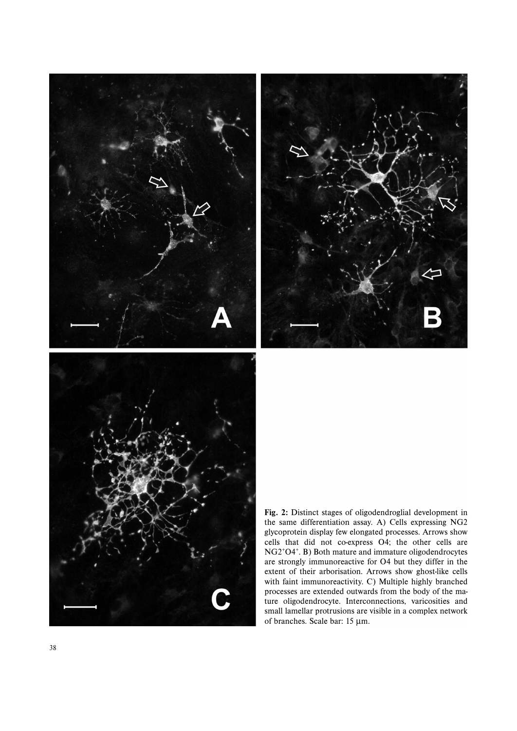

**Fig. 2:** Distinct stages of oligodendroglial development in the same differentiation assay. A) Cells expressing NG2 glycoprotein display few elongated processes. Arrows show cells that did not co-express O4; the other cells are NG2+O4+. B) Both mature and immature oligodendrocytes are strongly immunoreactive for O4 but they differ in the extent of their arborisation. Arrows show ghost-like cells with faint immunoreactivity. C) Multiple highly branched processes are extended outwards from the body of the mature oligodendrocyte. Interconnections, varicosities and small lamellar protrusions are visible in a complex network of branches. Scale bar: 15 μm.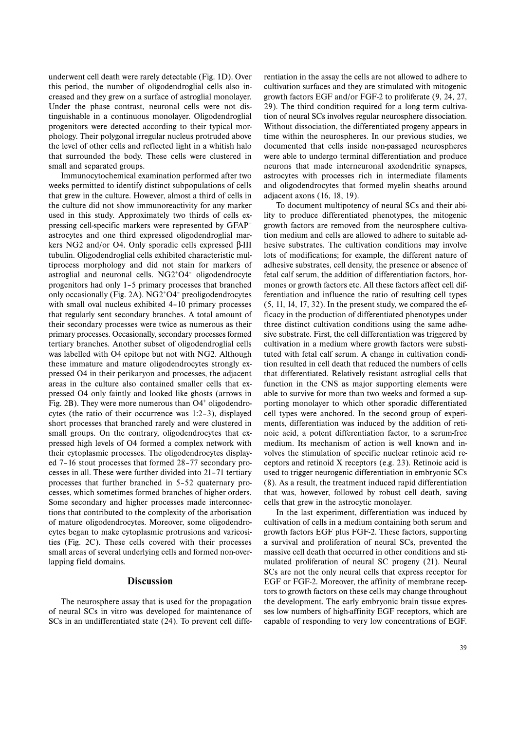underwent cell death were rarely detectable (Fig. 1D). Over this period, the number of oligodendroglial cells also increased and they grew on a surface of astroglial monolayer. Under the phase contrast, neuronal cells were not distinguishable in a continuous monolayer. Oligodendroglial progenitors were detected according to their typical morphology. Their polygonal irregular nucleus protruded above the level of other cells and reflected light in a whitish halo that surrounded the body. These cells were clustered in small and separated groups.

Immunocytochemical examination performed after two weeks permitted to identify distinct subpopulations of cells that grew in the culture. However, almost a third of cells in the culture did not show immunoreactivity for any marker used in this study. Approximately two thirds of cells expressing cell-specific markers were represented by GFAP+ astrocytes and one third expressed oligodendroglial markers NG2 and/or O4. Only sporadic cells expressed β-III tubulin. Oligodendroglial cells exhibited characteristic multiprocess morphology and did not stain for markers of astroglial and neuronal cells. NG2+O4– oligodendrocyte progenitors had only 1–5 primary processes that branched only occasionally (Fig. 2A). NG2+O4– preoligodendrocytes with small oval nucleus exhibited 4-10 primary processes that regularly sent secondary branches. A total amount of their secondary processes were twice as numerous as their primary processes. Occasionally, secondary processes formed tertiary branches. Another subset of oligodendroglial cells was labelled with O4 epitope but not with NG2. Although these immature and mature oligodendrocytes strongly expressed O4 in their perikaryon and processes, the adjacent areas in the culture also contained smaller cells that expressed O4 only faintly and looked like ghosts (arrows in Fig. 2B). They were more numerous than  $O4<sup>+</sup>$  oligodendrocytes (the ratio of their occurrence was 1:2–3), displayed short processes that branched rarely and were clustered in small groups. On the contrary, oligodendrocytes that expressed high levels of O4 formed a complex network with their cytoplasmic processes. The oligodendrocytes displayed 7–16 stout processes that formed 28–77 secondary processes in all. These were further divided into 21–71 tertiary processes that further branched in 5–52 quaternary processes, which sometimes formed branches of higher orders. Some secondary and higher processes made interconnections that contributed to the complexity of the arborisation of mature oligodendrocytes. Moreover, some oligodendrocytes began to make cytoplasmic protrusions and varicosities (Fig. 2C). These cells covered with their processes small areas of several underlying cells and formed non-overlapping field domains.

### **Discussion**

The neurosphere assay that is used for the propagation of neural SCs in vitro was developed for maintenance of SCs in an undifferentiated state (24). To prevent cell differentiation in the assay the cells are not allowed to adhere to cultivation surfaces and they are stimulated with mitogenic growth factors EGF and/or FGF-2 to proliferate (9, 24, 27, 29). The third condition required for a long term cultivation of neural SCs involves regular neurosphere dissociation. Without dissociation, the differentiated progeny appears in time within the neurospheres. In our previous studies, we documented that cells inside non-passaged neurospheres were able to undergo terminal differentiation and produce neurons that made interneuronal axodendritic synapses, astrocytes with processes rich in intermediate filaments and oligodendrocytes that formed myelin sheaths around adjacent axons (16, 18, 19).

To document multipotency of neural SCs and their ability to produce differentiated phenotypes, the mitogenic growth factors are removed from the neurosphere cultivation medium and cells are allowed to adhere to suitable adhesive substrates. The cultivation conditions may involve lots of modifications; for example, the different nature of adhesive substrates, cell density, the presence or absence of fetal calf serum, the addition of differentiation factors, hormones or growth factors etc. All these factors affect cell differentiation and influence the ratio of resulting cell types  $(5, 11, 14, 17, 32)$ . In the present study, we compared the efficacy in the production of differentiated phenotypes under three distinct cultivation conditions using the same adhesive substrate. First, the cell differentiation was triggered by cultivation in a medium where growth factors were substituted with fetal calf serum. A change in cultivation condition resulted in cell death that reduced the numbers of cells that differentiated. Relatively resistant astroglial cells that function in the CNS as major supporting elements were able to survive for more than two weeks and formed a supporting monolayer to which other sporadic differentiated cell types were anchored. In the second group of experiments, differentiation was induced by the addition of retinoic acid, a potent differentiation factor, to a serum-free medium. Its mechanism of action is well known and involves the stimulation of specific nuclear retinoic acid receptors and retinoid X receptors (e.g. 23). Retinoic acid is used to trigger neurogenic differentiation in embryonic SCs (8). As a result, the treatment induced rapid differentiation that was, however, followed by robust cell death, saving cells that grew in the astrocytic monolayer.

In the last experiment, differentiation was induced by cultivation of cells in a medium containing both serum and growth factors EGF plus FGF-2. These factors, supporting a survival and proliferation of neural SCs, prevented the massive cell death that occurred in other conditions and stimulated proliferation of neural SC progeny (21). Neural SCs are not the only neural cells that express receptor for EGF or FGF-2. Moreover, the affinity of membrane receptors to growth factors on these cells may change throughout the development. The early embryonic brain tissue expresses low numbers of high-affinity EGF receptors, which are capable of responding to very low concentrations of EGF.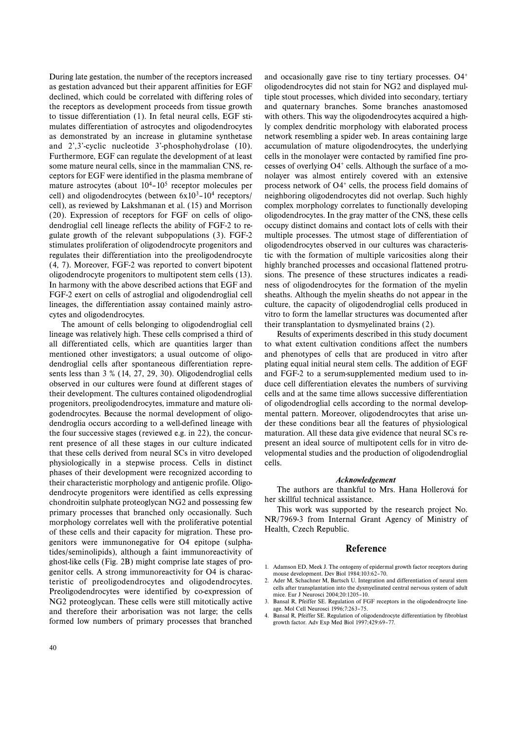During late gestation, the number of the receptors increased as gestation advanced but their apparent affinities for EGF declined, which could be correlated with differing roles of the receptors as development proceeds from tissue growth to tissue differentiation (1). In fetal neural cells, EGF stimulates differentiation of astrocytes and oligodendrocytes as demonstrated by an increase in glutamine synthetase and 2',3'-cyclic nucleotide 3'-phosphohydrolase (10). Furthermore, EGF can regulate the development of at least some mature neural cells, since in the mammalian CNS, receptors for EGF were identified in the plasma membrane of mature astrocytes (about  $10^4$ – $10^5$  receptor molecules per cell) and oligodendrocytes (between  $6x10^3 - 10^4$  receptors/ cell), as reviewed by Lakshmanan et al. (15) and Morrison (20). Expression of receptors for FGF on cells of oligodendroglial cell lineage reflects the ability of FGF-2 to regulate growth of the relevant subpopulations (3). FGF-2 stimulates proliferation of oligodendrocyte progenitors and regulates their differentiation into the preoligodendrocyte (4, 7). Moreover, FGF-2 was reported to convert bipotent oligodendrocyte progenitors to multipotent stem cells (13). In harmony with the above described actions that EGF and FGF-2 exert on cells of astroglial and oligodendroglial cell lineages, the differentiation assay contained mainly astrocytes and oligodendrocytes.

The amount of cells belonging to oligodendroglial cell lineage was relatively high. These cells comprised a third of all differentiated cells, which are quantities larger than mentioned other investigators; a usual outcome of oligodendroglial cells after spontaneous differentiation represents less than 3 % (14, 27, 29, 30). Oligodendroglial cells observed in our cultures were found at different stages of their development. The cultures contained oligodendroglial progenitors, preoligodendrocytes, immature and mature oligodendrocytes. Because the normal development of oligodendroglia occurs according to a well-defined lineage with the four successive stages (reviewed e.g. in 22), the concurrent presence of all these stages in our culture indicated that these cells derived from neural SCs in vitro developed physiologically in a stepwise process. Cells in distinct phases of their development were recognized according to their characteristic morphology and antigenic profile. Oligodendrocyte progenitors were identified as cells expressing chondroitin sulphate proteoglycan NG2 and possessing few primary processes that branched only occasionally. Such morphology correlates well with the proliferative potential of these cells and their capacity for migration. These progenitors were immunonegative for O4 epitope (sulphatides/seminolipids), although a faint immunoreactivity of ghost-like cells (Fig. 2B) might comprise late stages of progenitor cells. A strong immunoreactivity for O4 is characteristic of preoligodendrocytes and oligodendrocytes. Preoligodendrocytes were identified by co-expression of NG2 proteoglycan. These cells were still mitotically active and therefore their arborisation was not large; the cells formed low numbers of primary processes that branched and occasionally gave rise to tiny tertiary processes. O4+ oligodendrocytes did not stain for NG2 and displayed multiple stout processes, which divided into secondary, tertiary and quaternary branches. Some branches anastomosed with others. This way the oligodendrocytes acquired a highly complex dendritic morphology with elaborated process network resembling a spider web. In areas containing large accumulation of mature oligodendrocytes, the underlying cells in the monolayer were contacted by ramified fine processes of overlying  $O4^+$  cells. Although the surface of a monolayer was almost entirely covered with an extensive process network of  $O4<sup>+</sup>$  cells, the process field domains of neighboring oligodendrocytes did not overlap. Such highly complex morphology correlates to functionally developing oligodendrocytes. In the gray matter of the CNS, these cells occupy distinct domains and contact lots of cells with their multiple processes. The utmost stage of differentiation of oligodendrocytes observed in our cultures was characteristic with the formation of multiple varicosities along their highly branched processes and occasional flattened protrusions. The presence of these structures indicates a readiness of oligodendrocytes for the formation of the myelin sheaths. Although the myelin sheaths do not appear in the culture, the capacity of oligodendroglial cells produced in vitro to form the lamellar structures was documented after their transplantation to dysmyelinated brains (2).

Results of experiments described in this study document to what extent cultivation conditions affect the numbers and phenotypes of cells that are produced in vitro after plating equal initial neural stem cells. The addition of EGF and FGF-2 to a serum-supplemented medium used to induce cell differentiation elevates the numbers of surviving cells and at the same time allows successive differentiation of oligodendroglial cells according to the normal developmental pattern. Moreover, oligodendrocytes that arise under these conditions bear all the features of physiological maturation. All these data give evidence that neural SCs represent an ideal source of multipotent cells for in vitro developmental studies and the production of oligodendroglial cells.

#### *Acknowledgement*

The authors are thankful to Mrs. Hana Hollerová for her skillful technical assistance.

This work was supported by the research project No. NR/7969-3 from Internal Grant Agency of Ministry of Health, Czech Republic.

### **Reference**

- 1. Adamson ED, Meek J. The ontogeny of epidermal growth factor receptors during mouse development. Dev Biol 1984;103:62–70.
- 2. Ader M, Schachner M, Bartsch U. Integration and differentiation of neural stem cells after transplantation into the dysmyelinated central nervous system of adult mice. Eur J Neurosci 2004;20:1205–10.
- 3. Bansal R, Pfeiffer SE. Regulation of FGF receptors in the oligodendrocyte lineage. Mol Cell Neurosci 1996;7:263–75.
- 4. Bansal R, Pfeiffer SE. Regulation of oligodendrocyte differentiation by fibroblast growth factor. Adv Exp Med Biol 1997;429:69–77.